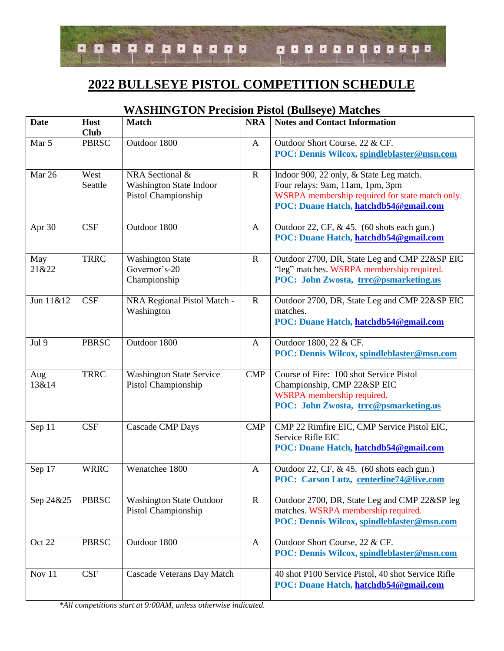

## **2022 BULLSEYE PISTOL COMPETITION SCHEDULE**

| <b>Date</b>  | Host<br><b>Club</b> | <b>Match</b>                                                             | <b>NRA</b>   | <b>Notes and Contact Information</b>                                                                                                                                    |
|--------------|---------------------|--------------------------------------------------------------------------|--------------|-------------------------------------------------------------------------------------------------------------------------------------------------------------------------|
| Mar 5        | <b>PBRSC</b>        | Outdoor 1800                                                             | A            | Outdoor Short Course, 22 & CF.<br>POC: Dennis Wilcox, spindleblaster@msn.com                                                                                            |
| Mar 26       | West<br>Seattle     | NRA Sectional &<br><b>Washington State Indoor</b><br>Pistol Championship | $\mathbf R$  | Indoor 900, 22 only, & State Leg match.<br>Four relays: 9am, 11am, 1pm, 3pm<br>WSRPA membership required for state match only.<br>POC: Duane Hatch, hatchdb54@gmail.com |
| Apr 30       | CSF                 | Outdoor 1800                                                             | A            | Outdoor 22, CF, & 45. (60 shots each gun.)<br>POC: Duane Hatch, hatchdb54@gmail.com                                                                                     |
| May<br>21&22 | <b>TRRC</b>         | <b>Washington State</b><br>Governor's-20<br>Championship                 | $\mathbf R$  | Outdoor 2700, DR, State Leg and CMP 22&SP EIC<br>"leg" matches. WSRPA membership required.<br>POC: John Zwosta, trrc@psmarketing.us                                     |
| Jun 11&12    | CSF                 | NRA Regional Pistol Match -<br>Washington                                | $\mathbf R$  | Outdoor 2700, DR, State Leg and CMP 22&SP EIC<br>matches.<br>POC: Duane Hatch, hatchdb54@gmail.com                                                                      |
| Jul 9        | <b>PBRSC</b>        | Outdoor 1800                                                             | A            | Outdoor 1800, 22 & CF.<br>POC: Dennis Wilcox, spindleblaster@msn.com                                                                                                    |
| Aug<br>13&14 | <b>TRRC</b>         | <b>Washington State Service</b><br>Pistol Championship                   | <b>CMP</b>   | Course of Fire: 100 shot Service Pistol<br>Championship, CMP 22&SP EIC<br>WSRPA membership required.<br>POC: John Zwosta, trrc@psmarketing.us                           |
| Sep 11       | CSF                 | <b>Cascade CMP Days</b>                                                  | <b>CMP</b>   | CMP 22 Rimfire EIC, CMP Service Pistol EIC,<br>Service Rifle EIC<br>POC: Duane Hatch, hatchdb54@gmail.com                                                               |
| Sep 17       | <b>WRRC</b>         | Wenatchee 1800                                                           | A            | Outdoor 22, CF, & 45. (60 shots each gun.)<br>POC: Carson Lutz, centerline74@live.com                                                                                   |
| Sep 24&25    | <b>PBRSC</b>        | <b>Washington State Outdoor</b><br>Pistol Championship                   | $\mathbf R$  | Outdoor 2700, DR, State Leg and CMP 22&SP leg<br>matches. WSRPA membership required.<br>POC: Dennis Wilcox, spindleblaster@msn.com                                      |
| Oct 22       | <b>PBRSC</b>        | Outdoor 1800                                                             | $\mathbf{A}$ | Outdoor Short Course, 22 & CF.<br>POC: Dennis Wilcox, spindleblaster@msn.com                                                                                            |
| Nov $11$     | CSF                 | Cascade Veterans Day Match                                               |              | 40 shot P100 Service Pistol, 40 shot Service Rifle<br>POC: Duane Hatch, hatchdb54@gmail.com                                                                             |

## **WASHINGTON Precision Pistol (Bullseye) Matches**

*\*All competitions start at 9:00AM, unless otherwise indicated.*